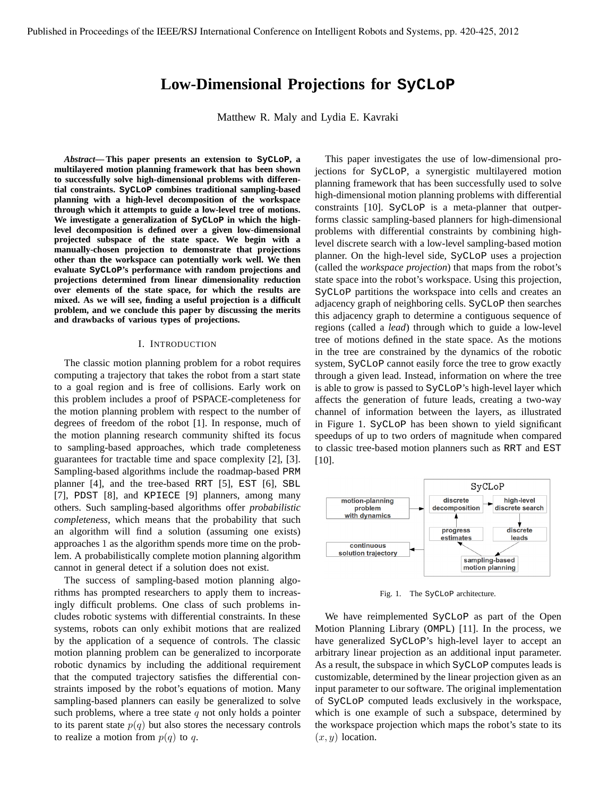# **Low-Dimensional Projections for SyCLoP**

Matthew R. Maly and Lydia E. Kavraki

*Abstract***— This paper presents an extension to SyCLoP, a multilayered motion planning framework that has been shown to successfully solve high-dimensional problems with differential constraints. SyCLoP combines traditional sampling-based planning with a high-level decomposition of the workspace through which it attempts to guide a low-level tree of motions. We investigate a generalization of SyCLoP in which the highlevel decomposition is defined over a given low-dimensional projected subspace of the state space. We begin with a manually-chosen projection to demonstrate that projections other than the workspace can potentially work well. We then evaluate SyCLoP's performance with random projections and projections determined from linear dimensionality reduction over elements of the state space, for which the results are mixed. As we will see, finding a useful projection is a difficult problem, and we conclude this paper by discussing the merits and drawbacks of various types of projections.**

#### I. INTRODUCTION

The classic motion planning problem for a robot requires computing a trajectory that takes the robot from a start state to a goal region and is free of collisions. Early work on this problem includes a proof of PSPACE-completeness for the motion planning problem with respect to the number of degrees of freedom of the robot [1]. In response, much of the motion planning research community shifted its focus to sampling-based approaches, which trade completeness guarantees for tractable time and space complexity [2], [3]. Sampling-based algorithms include the roadmap-based PRM planner [4], and the tree-based RRT [5], EST [6], SBL [7], PDST [8], and KPIECE [9] planners, among many others. Such sampling-based algorithms offer *probabilistic completeness*, which means that the probability that such an algorithm will find a solution (assuming one exists) approaches 1 as the algorithm spends more time on the problem. A probabilistically complete motion planning algorithm cannot in general detect if a solution does not exist.

The success of sampling-based motion planning algorithms has prompted researchers to apply them to increasingly difficult problems. One class of such problems includes robotic systems with differential constraints. In these systems, robots can only exhibit motions that are realized by the application of a sequence of controls. The classic motion planning problem can be generalized to incorporate robotic dynamics by including the additional requirement that the computed trajectory satisfies the differential constraints imposed by the robot's equations of motion. Many sampling-based planners can easily be generalized to solve such problems, where a tree state  $q$  not only holds a pointer to its parent state  $p(q)$  but also stores the necessary controls to realize a motion from  $p(q)$  to q.

This paper investigates the use of low-dimensional projections for SyCLoP, a synergistic multilayered motion planning framework that has been successfully used to solve high-dimensional motion planning problems with differential constraints [10]. SyCLoP is a meta-planner that outperforms classic sampling-based planners for high-dimensional problems with differential constraints by combining highlevel discrete search with a low-level sampling-based motion planner. On the high-level side, SyCLoP uses a projection (called the *workspace projection*) that maps from the robot's state space into the robot's workspace. Using this projection, SyCLoP partitions the workspace into cells and creates an adjacency graph of neighboring cells. SyCLoP then searches this adjacency graph to determine a contiguous sequence of regions (called a *lead*) through which to guide a low-level tree of motions defined in the state space. As the motions in the tree are constrained by the dynamics of the robotic system, SyCLoP cannot easily force the tree to grow exactly through a given lead. Instead, information on where the tree is able to grow is passed to SyCLoP's high-level layer which affects the generation of future leads, creating a two-way channel of information between the layers, as illustrated in Figure 1. SyCLoP has been shown to yield significant speedups of up to two orders of magnitude when compared to classic tree-based motion planners such as RRT and EST [10].



Fig. 1. The SyCLoP architecture.

We have reimplemented SyCLoP as part of the Open Motion Planning Library (OMPL) [11]. In the process, we have generalized SyCLoP's high-level layer to accept an arbitrary linear projection as an additional input parameter. As a result, the subspace in which SyCLoP computes leads is customizable, determined by the linear projection given as an input parameter to our software. The original implementation of SyCLoP computed leads exclusively in the workspace, which is one example of such a subspace, determined by the workspace projection which maps the robot's state to its  $(x, y)$  location.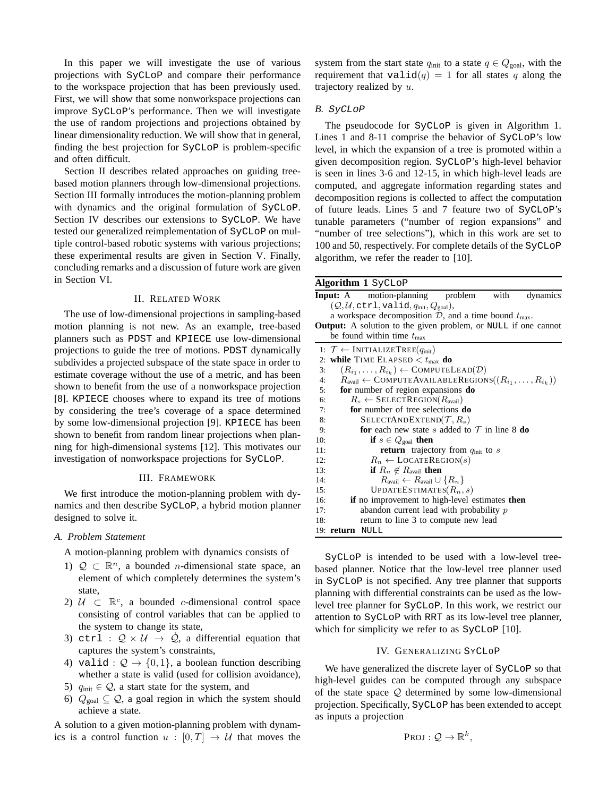In this paper we will investigate the use of various projections with SyCLoP and compare their performance to the workspace projection that has been previously used. First, we will show that some nonworkspace projections can improve SyCLoP's performance. Then we will investigate the use of random projections and projections obtained by linear dimensionality reduction. We will show that in general, finding the best projection for SyCLoP is problem-specific and often difficult.

Section II describes related approaches on guiding treebased motion planners through low-dimensional projections. Section III formally introduces the motion-planning problem with dynamics and the original formulation of SyCLoP. Section IV describes our extensions to SyCLoP. We have tested our generalized reimplementation of SyCLoP on multiple control-based robotic systems with various projections; these experimental results are given in Section V. Finally, concluding remarks and a discussion of future work are given in Section VI.

### II. RELATED WORK

The use of low-dimensional projections in sampling-based motion planning is not new. As an example, tree-based planners such as PDST and KPIECE use low-dimensional projections to guide the tree of motions. PDST dynamically subdivides a projected subspace of the state space in order to estimate coverage without the use of a metric, and has been shown to benefit from the use of a nonworkspace projection [8]. KPIECE chooses where to expand its tree of motions by considering the tree's coverage of a space determined by some low-dimensional projection [9]. KPIECE has been shown to benefit from random linear projections when planning for high-dimensional systems [12]. This motivates our investigation of nonworkspace projections for SyCLoP.

# III. FRAMEWORK

We first introduce the motion-planning problem with dynamics and then describe SyCLoP, a hybrid motion planner designed to solve it.

# *A. Problem Statement*

A motion-planning problem with dynamics consists of

- 1)  $Q \subset \mathbb{R}^n$ , a bounded *n*-dimensional state space, an element of which completely determines the system's state,
- 2)  $U \subset \mathbb{R}^c$ , a bounded *c*-dimensional control space consisting of control variables that can be applied to the system to change its state,
- 3) ctrl :  $Q \times U \rightarrow \dot{Q}$ , a differential equation that captures the system's constraints,
- 4) valid :  $Q \rightarrow \{0, 1\}$ , a boolean function describing whether a state is valid (used for collision avoidance),
- 5)  $q_{\text{init}} \in \mathcal{Q}$ , a start state for the system, and
- 6)  $Q_{\text{goal}} \subseteq Q$ , a goal region in which the system should achieve a state.

A solution to a given motion-planning problem with dynamics is a control function  $u : [0, T] \rightarrow \mathcal{U}$  that moves the system from the start state  $q_{init}$  to a state  $q \in Q_{goal}$ , with the requirement that valid $(q) = 1$  for all states q along the trajectory realized by  $u$ .

# *B.* SyCLoP

The pseudocode for SyCLoP is given in Algorithm 1. Lines 1 and 8-11 comprise the behavior of SyCLoP's low level, in which the expansion of a tree is promoted within a given decomposition region. SyCLoP's high-level behavior is seen in lines 3-6 and 12-15, in which high-level leads are computed, and aggregate information regarding states and decomposition regions is collected to affect the computation of future leads. Lines 5 and 7 feature two of SyCLoP's tunable parameters ("number of region expansions" and "number of tree selections"), which in this work are set to 100 and 50, respectively. For complete details of the SyCLoP algorithm, we refer the reader to [10].

# **Algorithm 1** SyCLoP

|    | <b>Input:</b> A motion-planning problem with                                                                   |  | dynamics |
|----|----------------------------------------------------------------------------------------------------------------|--|----------|
|    | $(Q, U, \text{ctrl}, \text{valid}, q_{\text{init}}, Q_{\text{goal}}),$                                         |  |          |
|    | a workspace decomposition $D$ , and a time bound $t_{\text{max}}$ .                                            |  |          |
|    | <b>Output:</b> A solution to the given problem, or NULL if one cannot<br>be found within time $t_{\text{max}}$ |  |          |
|    | 1: $\mathcal{T} \leftarrow \text{INITIALIZETree}(q_{\text{init}})$                                             |  |          |
|    | 2: while TIME ELAPSED $\lt t_{\text{max}}$ do                                                                  |  |          |
|    | 3: $(R_{i_1},\ldots,R_{i_k}) \leftarrow \text{COMPUTELEAD}(\mathcal{D})$                                       |  |          |
| 4: | $R_{\text{avail}} \leftarrow \text{COMPUTEAVAILABLEREGIONS}((R_{i_1}, \ldots, R_{i_k}))$                       |  |          |

| 4:  |            | $R_{\text{avail}} \leftarrow \text{COMPUTEAVAILABLEREGIONS}((R_{i_1}, \ldots, R_{i_k}))$ |
|-----|------------|------------------------------------------------------------------------------------------|
| 5:  |            | for number of region expansions do                                                       |
| 6:  |            | $R_s \leftarrow$ SELECTREGION( $R_{\text{avail}}$ )                                      |
| 7:  |            | <b>for</b> number of tree selections <b>do</b>                                           |
| 8:  |            | SELECTANDEXTEND $(\mathcal{T}, R_s)$                                                     |
| 9:  |            | <b>for</b> each new state s added to $\mathcal T$ in line 8 <b>do</b>                    |
| 10: |            | if $s \in Q_{\text{goal}}$ then                                                          |
| 11: |            | <b>return</b> trajectory from $q_{init}$ to s                                            |
| 12: |            | $R_n \leftarrow$ LOCATEREGION(s)                                                         |
| 13: |            | if $R_n \notin R_{\text{avail}}$ then                                                    |
| 14: |            | $R_{\text{avail}} \leftarrow R_{\text{avail}} \cup \{R_n\}$                              |
| 15: |            | UPDATE ESTIMATES $(R_n, s)$                                                              |
| 16: |            | <b>if</b> no improvement to high-level estimates <b>then</b>                             |
| 17: |            | abandon current lead with probability $p$                                                |
| 18: |            | return to line 3 to compute new lead                                                     |
|     | 19: return | NULL                                                                                     |

SyCLoP is intended to be used with a low-level treebased planner. Notice that the low-level tree planner used in SyCLoP is not specified. Any tree planner that supports planning with differential constraints can be used as the lowlevel tree planner for SyCLoP. In this work, we restrict our attention to SyCLoP with RRT as its low-level tree planner, which for simplicity we refer to as SyCLOP [10].

# IV. GENERALIZING SYCLOP

We have generalized the discrete layer of SyCLoP so that high-level guides can be computed through any subspace of the state space  $Q$  determined by some low-dimensional projection. Specifically, SyCLoP has been extended to accept as inputs a projection

$$
\text{PROJ}: \mathcal{Q} \to \mathbb{R}^k,
$$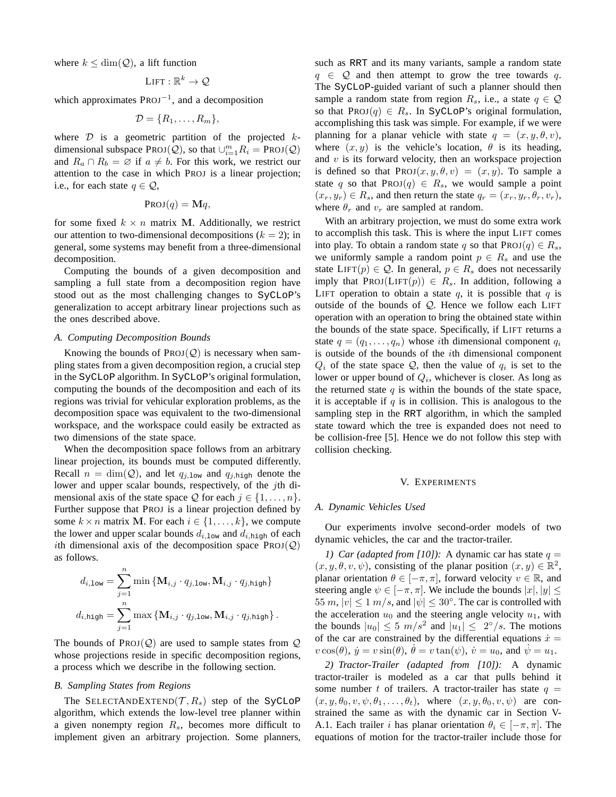where  $k \leq \dim(Q)$ , a lift function

$$
\mathrm{LIFT}:\mathbb{R}^k\to\mathcal{Q}
$$

which approximates  $P_{\text{ROI}}^{-1}$ , and a decomposition

$$
\mathcal{D} = \{R_1, \ldots, R_m\},\
$$

where  $D$  is a geometric partition of the projected  $k$ dimensional subspace  $\text{Proj}(\mathcal{Q})$ , so that  $\cup_{i=1}^{m} R_i = \text{Proj}(\mathcal{Q})$ and  $R_a \cap R_b = \emptyset$  if  $a \neq b$ . For this work, we restrict our attention to the case in which PROJ is a linear projection; i.e., for each state  $q \in \mathcal{Q}$ ,

$$
ProJ(q) = \mathbf{M}q,
$$

for some fixed  $k \times n$  matrix M. Additionally, we restrict our attention to two-dimensional decompositions  $(k = 2)$ ; in general, some systems may benefit from a three-dimensional decomposition.

Computing the bounds of a given decomposition and sampling a full state from a decomposition region have stood out as the most challenging changes to SyCLoP's generalization to accept arbitrary linear projections such as the ones described above.

# *A. Computing Decomposition Bounds*

Knowing the bounds of  $PROJ(Q)$  is necessary when sampling states from a given decomposition region, a crucial step in the SyCLoP algorithm. In SyCLoP's original formulation, computing the bounds of the decomposition and each of its regions was trivial for vehicular exploration problems, as the decomposition space was equivalent to the two-dimensional workspace, and the workspace could easily be extracted as two dimensions of the state space.

When the decomposition space follows from an arbitrary linear projection, its bounds must be computed differently. Recall  $n = \dim(Q)$ , and let  $q_{j,\text{low}}$  and  $q_{j,\text{high}}$  denote the lower and upper scalar bounds, respectively, of the *j*th dimensional axis of the state space  $\mathcal Q$  for each  $j \in \{1, \ldots, n\}$ . Further suppose that PROJ is a linear projection defined by some  $k \times n$  matrix M. For each  $i \in \{1, \ldots, k\}$ , we compute the lower and upper scalar bounds  $d_{i,\text{low}}$  and  $d_{i,\text{high}}$  of each ith dimensional axis of the decomposition space  $\text{Proj}(\mathcal{Q})$ as follows.

$$
d_{i,\text{low}} = \sum_{j=1}^{n} \min \left\{ \mathbf{M}_{i,j} \cdot q_{j,\text{low}}, \mathbf{M}_{i,j} \cdot q_{j,\text{high}} \right\}
$$

$$
d_{i,\text{high}} = \sum_{j=1}^{n} \max \left\{ \mathbf{M}_{i,j} \cdot q_{j,\text{low}}, \mathbf{M}_{i,j} \cdot q_{j,\text{high}} \right\}.
$$

The bounds of  $PROJ(Q)$  are used to sample states from Q whose projections reside in specific decomposition regions, a process which we describe in the following section.

#### *B. Sampling States from Regions*

The SELECTANDEXTEND $(\mathcal{T}, R_s)$  step of the SyCLOP algorithm, which extends the low-level tree planner within a given nonempty region  $R_s$ , becomes more difficult to implement given an arbitrary projection. Some planners, such as RRT and its many variants, sample a random state  $q \in \mathcal{Q}$  and then attempt to grow the tree towards q. The SyCLoP-guided variant of such a planner should then sample a random state from region  $R_s$ , i.e., a state  $q \in \mathcal{Q}$ so that  $\text{Proj}(q) \in R_s$ . In SyCLOP's original formulation, accomplishing this task was simple. For example, if we were planning for a planar vehicle with state  $q = (x, y, \theta, v)$ , where  $(x, y)$  is the vehicle's location,  $\theta$  is its heading, and  $v$  is its forward velocity, then an workspace projection is defined so that  $PROJ(x, y, \theta, v) = (x, y)$ . To sample a state q so that  $PROJ(q) \in R_s$ , we would sample a point  $(x_r, y_r) \in R_s$ , and then return the state  $q_r = (x_r, y_r, \theta_r, v_r)$ , where  $\theta_r$  and  $v_r$  are sampled at random.

With an arbitrary projection, we must do some extra work to accomplish this task. This is where the input LIFT comes into play. To obtain a random state q so that  $\text{PROJ}(q) \in R_s$ , we uniformly sample a random point  $p \in R_s$  and use the state LIFT(p)  $\in \mathcal{Q}$ . In general,  $p \in R_s$  does not necessarily imply that  $PROJ(LIFT(p)) \in R_s$ . In addition, following a LIFT operation to obtain a state  $q$ , it is possible that  $q$  is outside of the bounds of  $Q$ . Hence we follow each LIFT operation with an operation to bring the obtained state within the bounds of the state space. Specifically, if LIFT returns a state  $q = (q_1, \ldots, q_n)$  whose *i*th dimensional component  $q_i$ is outside of the bounds of the  $i$ th dimensional component  $Q_i$  of the state space  $Q$ , then the value of  $q_i$  is set to the lower or upper bound of  $Q_i$ , whichever is closer. As long as the returned state  $q$  is within the bounds of the state space, it is acceptable if  $q$  is in collision. This is analogous to the sampling step in the RRT algorithm, in which the sampled state toward which the tree is expanded does not need to be collision-free [5]. Hence we do not follow this step with collision checking.

#### V. EXPERIMENTS

#### *A. Dynamic Vehicles Used*

Our experiments involve second-order models of two dynamic vehicles, the car and the tractor-trailer.

*1) Car (adapted from [10]):* A dynamic car has state  $q =$  $(x, y, \theta, v, \psi)$ , consisting of the planar position  $(x, y) \in \mathbb{R}^2$ , planar orientation  $\theta \in [-\pi, \pi]$ , forward velocity  $v \in \mathbb{R}$ , and steering angle  $\psi \in [-\pi, \pi]$ . We include the bounds  $|x|, |y| \le$ 55 m,  $|v| \le 1$  m/s, and  $|\psi| \le 30^{\circ}$ . The car is controlled with the acceleration  $u_0$  and the steering angle velocity  $u_1$ , with the bounds  $|u_0| \le 5 \frac{m}{s^2}$  and  $|u_1| \le 2^{\circ}/s$ . The motions of the car are constrained by the differential equations  $\dot{x} =$  $v \cos(\theta)$ ,  $\dot{y} = v \sin(\theta)$ ,  $\dot{\theta} = v \tan(\psi)$ ,  $\dot{v} = u_0$ , and  $\dot{\psi} = u_1$ .

*2) Tractor-Trailer (adapted from [10]):* A dynamic tractor-trailer is modeled as a car that pulls behind it some number t of trailers. A tractor-trailer has state  $q =$  $(x, y, \theta_0, v, \psi, \theta_1, \dots, \theta_t)$ , where  $(x, y, \theta_0, v, \psi)$  are constrained the same as with the dynamic car in Section V-A.1. Each trailer i has planar orientation  $\theta_i \in [-\pi, \pi]$ . The equations of motion for the tractor-trailer include those for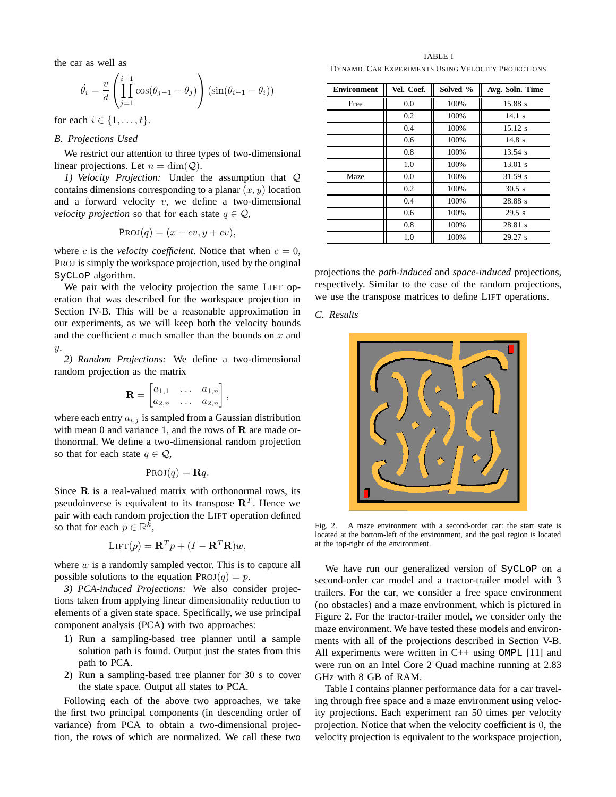the car as well as

$$
\dot{\theta}_i = \frac{v}{d} \left( \prod_{j=1}^{i-1} \cos(\theta_{j-1} - \theta_j) \right) \left( \sin(\theta_{i-1} - \theta_i) \right)
$$

for each  $i \in \{1, \ldots, t\}$ .

# *B. Projections Used*

We restrict our attention to three types of two-dimensional linear projections. Let  $n = \dim(Q)$ .

*1) Velocity Projection:* Under the assumption that Q contains dimensions corresponding to a planar  $(x, y)$  location and a forward velocity  $v$ , we define a two-dimensional *velocity projection* so that for each state  $q \in \mathcal{Q}$ ,

$$
PROJ(q) = (x + cv, y + cv),
$$

where c is the *velocity coefficient*. Notice that when  $c = 0$ , PROJ is simply the workspace projection, used by the original SyCLoP algorithm.

We pair with the velocity projection the same LIFT operation that was described for the workspace projection in Section IV-B. This will be a reasonable approximation in our experiments, as we will keep both the velocity bounds and the coefficient  $c$  much smaller than the bounds on  $x$  and  $\overline{y}$ .

*2) Random Projections:* We define a two-dimensional random projection as the matrix

$$
\mathbf{R} = \begin{bmatrix} a_{1,1} & \cdots & a_{1,n} \\ a_{2,n} & \cdots & a_{2,n} \end{bmatrix},
$$

where each entry  $a_{i,j}$  is sampled from a Gaussian distribution with mean 0 and variance 1, and the rows of  **are made or**thonormal. We define a two-dimensional random projection so that for each state  $q \in \mathcal{Q}$ ,

$$
ProJ(q) = \mathbf{R}q.
$$

Since  $R$  is a real-valued matrix with orthonormal rows, its pseudoinverse is equivalent to its transpose  $\mathbb{R}^T$ . Hence we pair with each random projection the LIFT operation defined so that for each  $p \in \mathbb{R}^k$ ,

$$
LIFT(p) = \mathbf{R}^T p + (I - \mathbf{R}^T \mathbf{R})w,
$$

where  $w$  is a randomly sampled vector. This is to capture all possible solutions to the equation  $PROJ(q) = p$ .

*3) PCA-induced Projections:* We also consider projections taken from applying linear dimensionality reduction to elements of a given state space. Specifically, we use principal component analysis (PCA) with two approaches:

- 1) Run a sampling-based tree planner until a sample solution path is found. Output just the states from this path to PCA.
- 2) Run a sampling-based tree planner for 30 s to cover the state space. Output all states to PCA.

Following each of the above two approaches, we take the first two principal components (in descending order of variance) from PCA to obtain a two-dimensional projection, the rows of which are normalized. We call these two

TABLE I DYNAMIC CAR EXPERIMENTS USING VELOCITY PROJECTIONS

| <b>Environment</b> | Vel. Coef. | Solved % | Avg. Soln. Time   |
|--------------------|------------|----------|-------------------|
| Free               | 0.0        | 100%     | 15.88 s           |
|                    | 0.2        | 100%     | 14.1 s            |
|                    | 0.4        | 100%     | 15.12 s           |
|                    | 0.6        | 100%     | 14.8 s            |
|                    | 0.8        | 100%     | $13.54 \text{ s}$ |
|                    | 1.0        | 100%     | 13.01 s           |
| Maze               | 0.0        | 100%     | $31.59$ s         |
|                    | 0.2        | 100%     | $30.5$ s          |
|                    | 0.4        | 100%     | 28.88 s           |
|                    | 0.6        | 100%     | 29.5 s            |
|                    | 0.8        | 100%     | 28.81 s           |
|                    | 1.0        | 100%     | 29.27 s           |

projections the *path-induced* and *space-induced* projections, respectively. Similar to the case of the random projections, we use the transpose matrices to define LIFT operations.

*C. Results*



Fig. 2. A maze environment with a second-order car: the start state is located at the bottom-left of the environment, and the goal region is located at the top-right of the environment.

We have run our generalized version of SyCLOP on a second-order car model and a tractor-trailer model with 3 trailers. For the car, we consider a free space environment (no obstacles) and a maze environment, which is pictured in Figure 2. For the tractor-trailer model, we consider only the maze environment. We have tested these models and environments with all of the projections described in Section V-B. All experiments were written in  $C_{++}$  using OMPL [11] and were run on an Intel Core 2 Quad machine running at 2.83 GHz with 8 GB of RAM.

Table I contains planner performance data for a car traveling through free space and a maze environment using velocity projections. Each experiment ran 50 times per velocity projection. Notice that when the velocity coefficient is 0, the velocity projection is equivalent to the workspace projection,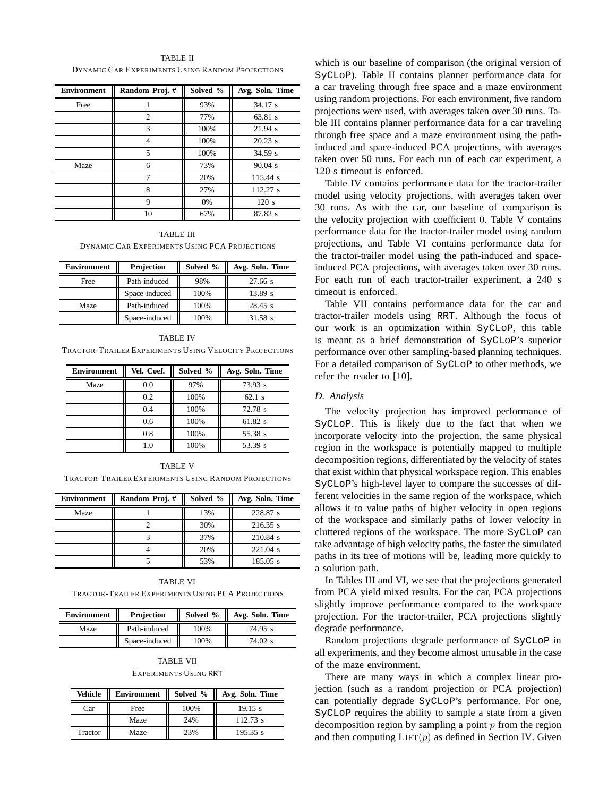DYNAMIC CAR EXPERIMENTS USING RANDOM PROJECTIONS **Environment Random Proj.** # **Solved % Avg.** Soln. Time Free || 1 || 93% || 34.17 s 2 || 77% || 63.81 s 3 || 100% || 21.94 s

TABLE II

|      | . . | 1 VV 70 | 21.77.5   |
|------|-----|---------|-----------|
|      |     | 100%    | $20.23$ s |
|      |     | 100%    | 34.59 s   |
| Maze |     | 73%     | $90.04$ s |
|      |     | 20%     | 115.44 s  |
|      |     | 27%     | 112.27 s  |
|      |     | 0%      | 120s      |
|      | 10  | 67%     | 87.82 s   |
|      |     |         |           |

TABLE III DYNAMIC CAR EXPERIMENTS USING PCA PROJECTIONS

| <b>Environment</b> | Projection    | Solved % | Avg. Soln. Time   |
|--------------------|---------------|----------|-------------------|
| Free               | Path-induced  | 98%      | 27.66 s           |
|                    | Space-induced | 100%     | 13.89 s           |
| Maze               | Path-induced  | 100%     | $28.45$ s         |
|                    | Space-induced | 100%     | $31.58 \text{ s}$ |

TABLE IV TRACTOR-TRAILER EXPERIMENTS USING VELOCITY PROJECTIONS

| <b>Environment</b> | Vel. Coef. | Solved % | Avg. Soln. Time |
|--------------------|------------|----------|-----------------|
| Maze               | 0.0        | 97%      | 73.93 s         |
|                    | 0.2        | 100%     | $62.1$ s        |
|                    | 0.4        | 100%     | 72.78 s         |
|                    | 0.6        | 100%     | $61.82$ s       |
|                    | 0.8        | 100%     | 55.38 s         |
|                    | 10         | 100%     | 53.39 s         |

TABLE V TRACTOR-TRAILER EXPERIMENTS USING RANDOM PROJECTIONS

| <b>Environment</b> | Random Proj. # | Solved % | Avg. Soln. Time |
|--------------------|----------------|----------|-----------------|
| Maze               |                | 13%      | 228.87 s        |
|                    |                | 30%      | $216.35$ s      |
|                    |                | 37%      | 210.84 s        |
|                    |                | 20%      | $221.04$ s      |
|                    |                | 53%      | $185.05$ s      |

TABLE VI TRACTOR-TRAILER EXPERIMENTS USING PCA PROJECTIONS

| <b>Environment</b> | Projection      |      | Solved %    Avg. Soln. Time |
|--------------------|-----------------|------|-----------------------------|
| Maze               | Path-induced    | 100% | 74.95 s                     |
|                    | $Space-induced$ | 100% | 74 O 2s                     |

| <b>TABLE VII</b>      |
|-----------------------|
| EXPERIMENTS USING RRT |

| <b>Vehicle</b> | <b>Environment</b> | Solved % | Avg. Soln. Time |
|----------------|--------------------|----------|-----------------|
| Car            | Free               | 100%     | 19.15 s         |
|                | Maze               | 24%      | $112.73$ s      |
| Tractor        | Maze               | 23%      | $195.35$ s      |

which is our baseline of comparison (the original version of SyCLoP). Table II contains planner performance data for a car traveling through free space and a maze environment using random projections. For each environment, five random projections were used, with averages taken over 30 runs. Table III contains planner performance data for a car traveling through free space and a maze environment using the pathinduced and space-induced PCA projections, with averages taken over 50 runs. For each run of each car experiment, a 120 s timeout is enforced.

Table IV contains performance data for the tractor-trailer model using velocity projections, with averages taken over 30 runs. As with the car, our baseline of comparison is the velocity projection with coefficient 0. Table V contains performance data for the tractor-trailer model using random projections, and Table VI contains performance data for the tractor-trailer model using the path-induced and spaceinduced PCA projections, with averages taken over 30 runs. For each run of each tractor-trailer experiment, a 240 s timeout is enforced.

Table VII contains performance data for the car and tractor-trailer models using RRT. Although the focus of our work is an optimization within SyCLoP, this table is meant as a brief demonstration of SyCLoP's superior performance over other sampling-based planning techniques. For a detailed comparison of SyCLoP to other methods, we refer the reader to [10].

# *D. Analysis*

The velocity projection has improved performance of SyCLoP. This is likely due to the fact that when we incorporate velocity into the projection, the same physical region in the workspace is potentially mapped to multiple decomposition regions, differentiated by the velocity of states that exist within that physical workspace region. This enables SyCLoP's high-level layer to compare the successes of different velocities in the same region of the workspace, which allows it to value paths of higher velocity in open regions of the workspace and similarly paths of lower velocity in cluttered regions of the workspace. The more SyCLoP can take advantage of high velocity paths, the faster the simulated paths in its tree of motions will be, leading more quickly to a solution path.

In Tables III and VI, we see that the projections generated from PCA yield mixed results. For the car, PCA projections slightly improve performance compared to the workspace projection. For the tractor-trailer, PCA projections slightly degrade performance.

Random projections degrade performance of SyCLoP in all experiments, and they become almost unusable in the case of the maze environment.

There are many ways in which a complex linear projection (such as a random projection or PCA projection) can potentially degrade SyCLoP's performance. For one, SyCLoP requires the ability to sample a state from a given decomposition region by sampling a point  $p$  from the region and then computing  $LIFT(p)$  as defined in Section IV. Given